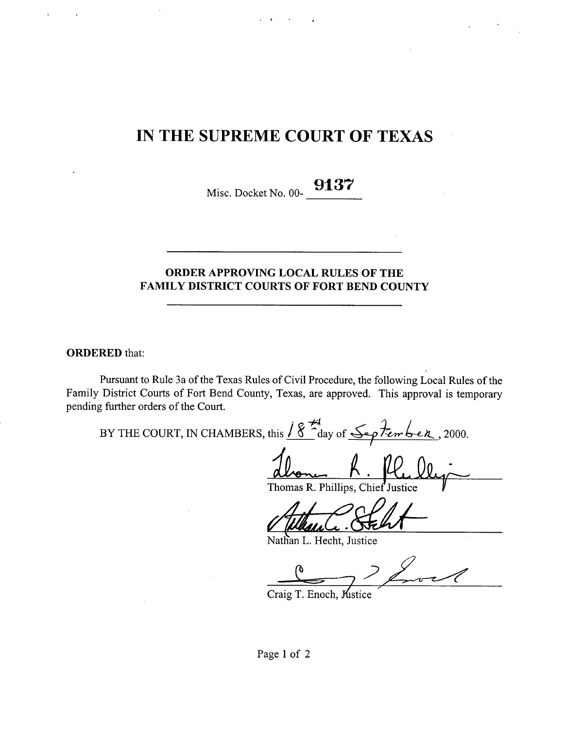# IN THE SUPREME COURT OF TEXAS

Misc. Docket No. 00-

# ORDER APPROVING LOCAL RULES OF THE FAMILY DISTRICT COURTS OF FORT BEND COUNTY

ORDERED that:

Pursuant to Rule 3a of the Texas Rules of Civil Procedure, the following Local Rules of the Family District Courts of Fort Bend County, Texas, are approved. This approval is'temporary pending further orders of the Court.

**-7q BY THE COURT, IN CHAMBERS, this** /^day of t-S^p ^^►^ ^^ , 2000.

dlong R Phillips Ch

Thomas R. Phillips, Chief Justice

Nathan L. Hecht, Justice

Craig T. Enoch, Mistice

Page 1 of 2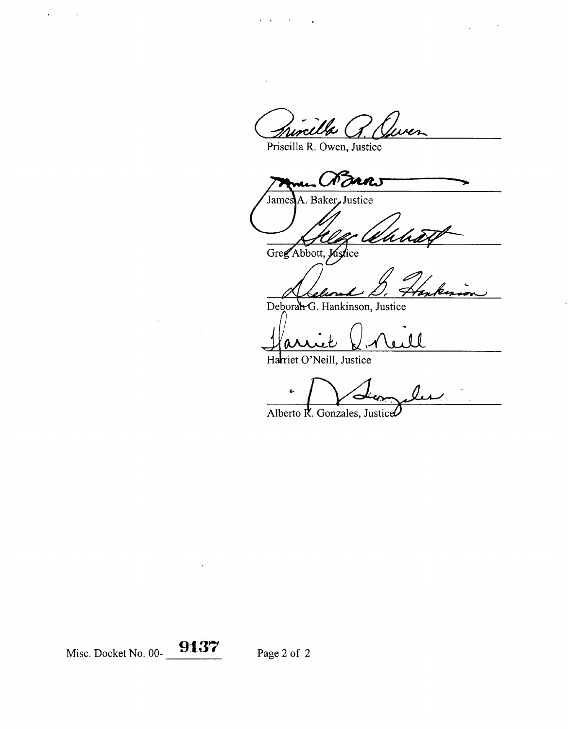incilla G

Priscilla R. Owen, Justice

Baker, Justice Jame

Greg Abbott, Justice

Deborat G. Hankinson, Justice

 $\theta$ 

Harriet O'Neill, Justice

Alberto R. Gonzales, Justice

Misc. Docket No. 00- **9137** Page 2 of 2

l,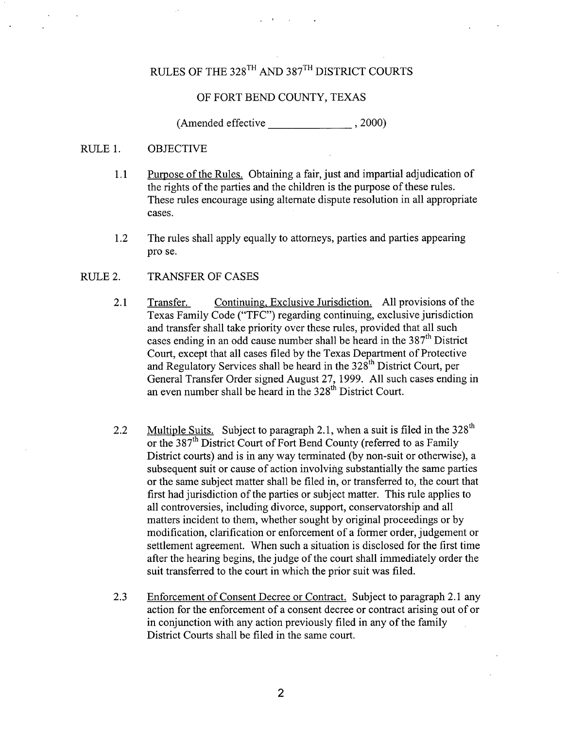# RULES OF THE 328TH AND 387TH DISTRICT COURTS

#### OF FORT BEND COUNTY, TEXAS

(Amended effective , 2000)

#### RULE 1. OBJECTIVE

- 1.1 Purpose of the Rules. Obtaining a fair, just and impartial adjudication of the rights of the parties and the children is the purpose of these rules. These rules encourage using alternate dispute resolution in all appropriate cases.
- 1.2 The rules shall apply equally to attorneys, parties and parties appearing pro se.
- RULE 2. TRANSFER OF CASES
	- **2.1 Transfer. Continuing, Exclusive Jurisdiction. All provisions of the Texas Family Code** ("TFC") **regarding continuing, exclusive jurisdiction and transfer shall take priority over these rules, provided that all such** cases ending in an odd cause number shall be heard in the 387<sup>th</sup> District Court, **except that all cases filed by the Texas Department of Protective** and Regulatory Services shall be heard in the 328<sup>th</sup> District Court, per **General Transfer Order signed August 27, 1999. All such cases ending in an even number shall be heard in the 328th District Court.**
	- 2.2 Multiple Suits. Subject to paragraph 2.1, when a suit is filed in the  $328<sup>th</sup>$ or the 387<sup>th</sup> District Court of Fort Bend County (referred to as Family District courts) and is in any way terminated (by non-suit or otherwise), a subsequent suit or cause of action involving substantially the same parties or the same subject matter shall be filed in, or transferred to, the court that first had jurisdiction of the parties or subject matter. This rule applies to all controversies, including divorce, support, conservatorship and all matters incident to them, whether sought by original proceedings or by modification, clarification or enforcement of a former order, judgement or settlement agreement. When such a situation is disclosed for the first time after the hearing begins, the judge of the court shall immediately order the suit transferred to the court in which the prior suit was filed.
	- 2.3 Enforcement of Consent Decree or Contract. Subject to paragraph 2.1 any action for the enforcement of a consent decree or contract arising out of or in conjunction with any action previously filed in any of the family District Courts shall be filed in the same court.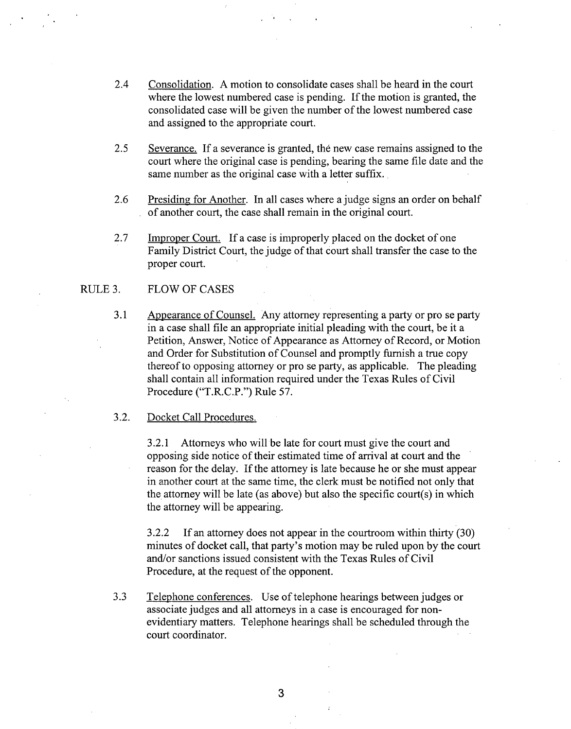- 2.4 Consolidation. A motion to consolidate cases shall be heard in the court where the lowest numbered case is pending. If the motion is granted, the consolidated case will be given the number of the lowest numbered case and assigned to the appropriate court.
- 2.5 Severance. If a severance is granted, the new case remains assigned to the court where the original case is pending, bearing the same file date and the same number as the original case with a letter suffix.
- 2.6 Presiding for Another. In all cases where a judge signs an order on behalf . of another court, the case shall remain in the original court.
- 2.7 Improper Court. If a case is improperly placed on the docket of one Family District Court, the judge of that court shall transfer the case to the proper court.

### RULE 3. FLOW OF CASES

3.1 Appearance of Counsel. Any attorney representing a party or pro se party in a case shall file an appropriate initial pleading with the court, be it a Petition, Answer, Notice of Appearance as Attorney of Record, or Motion and Order for Substitution of Counsel and promptly furnish a true copy thereof to opposing attorney or pro se party, as applicable. The pleading shall contain all information required under the Texas Rules of Civil Procedure ("T.R.C.P.") Rule 57.

#### 3.2. Docket Call Procedures.

3.2.1 Attorneys who will be late for court must give the court and opposing side notice of their estimated time of arrival at court and the reason for the delay. If the attorney is late because he or she must appear in another court at the same time, the clerk must be notified not only that the attorney will be late (as above) but also the specific court(s) in which the attorney will be appearing.

3.2.2 If an attorney does not appear in the courtroom within thirty (30) minutes of docket call, that party's motion may be ruled upon by the court and/or sanctions issued consistent with the Texas Rules of Civil Procedure, at the request of the opponent.

3.3 Telephone conferences. Use of telephone hearings between judges or associate judges and all attorneys in a case is encouraged for nonevidentiary matters. Telephone hearings shall be scheduled through the court coordinator.

3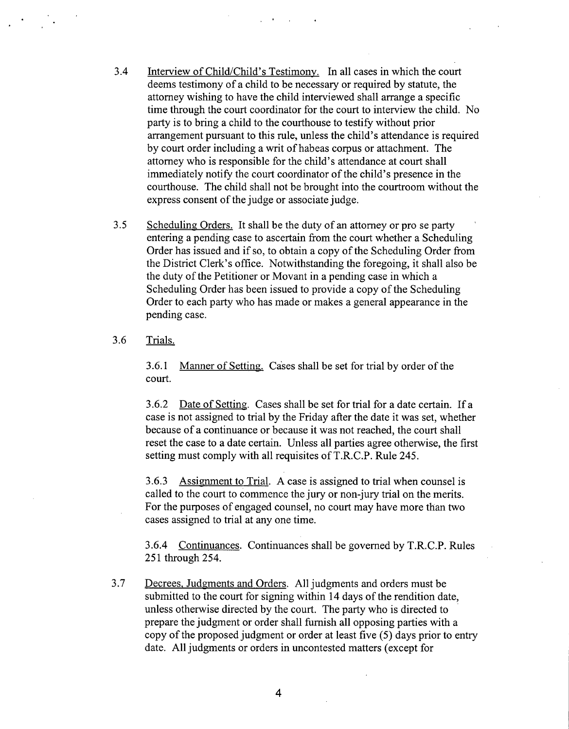- 3.4 Interview of Child/Child's Testimony. In all cases in which the court deems testimony of a child to be necessary or required by statute, the attorney wishing to have the child interviewed shall arrange a specific time through the court coordinator for the court to interview the child. No party is to bring a child to the courthouse to testify without prior arrangement pursuant to this rule, unless the child's attendance is required by court order including a writ of habeas corpus or attachment. The attorney who is responsible for the child's attendance at court shall immediately notify the court coordinator of the child's presence in the courthouse. The child shall not be brought into the courtroom without the express consent of the judge or associate judge.
- 3.5 Scheduling Orders. It shall be the duty of an attorney or pro se party entering a pending case to ascertain from the court whether a Scheduling Order has issued and if so, to obtain a copy of the Scheduling Order from the District Clerk's office. Notwithstanding the foregoing, it shall also be the duty of the Petitioner or Movant in a pending case in which a Scheduling Order has been issued to provide a copy of the Scheduling Order to each party who has made or makes a general appearance in the pending case.
- 3.6 Trials.

3.6.1 Manner of Setting. Cases shall be set for trial by order of the court.

3.6.2 Date of Settine. Cases shall be set for trial for a date certain. If a case is not assigned to trial by the Friday after the date it was set, whether because of a continuance or because it was not reached, the court shall reset the case to a date certain. Unless all parties agree otherwise, the first setting must comply with all requisites of T.R.C.P. Rule 245.

3.6.3 Assignment to Trial. A case is assigned to trial when counsel is called to the court to commence the jury or non-jury trial on the merits. For the purposes of engaged counsel, no court may have more than two cases assigned to trial at any one time.

3.6.4 Continuances. Continuances shall be governed by T.R.C.P. Rules 251 through 254.

3.7 Decrees, Judgments and Orders. All judgments and orders must be submitted to the court for signing within 14 days of the rendition date, unless otherwise directed by the court. The party who is directed to prepare the judgment or order shall furnish all opposing parties with a copy of the proposed judgment or order at least five (5) days prior to entry date. All judgments or orders in uncontested matters (except for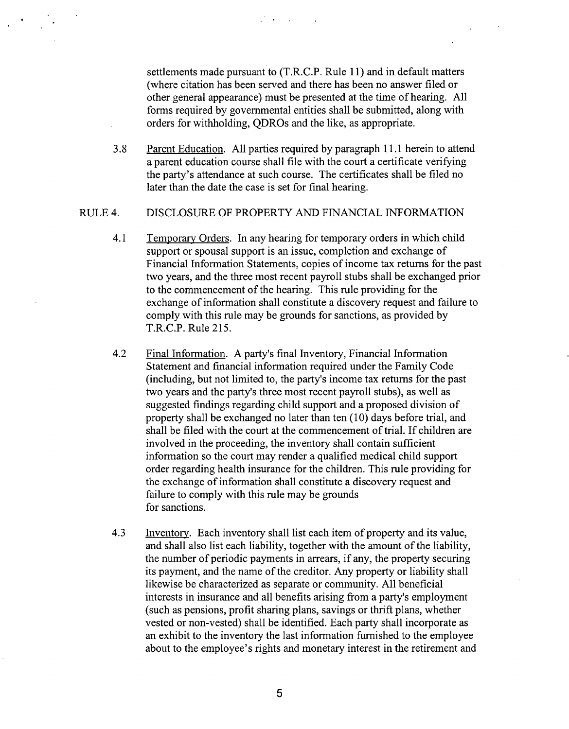settlements made pursuant to (T.R.C.P. Rule 11) and in default matters (where citation has been served and there has been no answer filed or other general appearance) must be presented at the time of hearing. All forms required by governmental entities shall be submitted, along with orders for withholding, QDROs and the like, as appropriate.

3.8 Parent Education. All parties required by paragraph 11.1 herein to attend a parent education course shall file with the court a certificate verifying the party's attendance at such course. The certificates shall be filed no later than the date the case is set for final hearing.

#### RULE 4. DISCLOSURE OF PROPERTY AND FINANCIAL INFORMATION

- 4.1 Temporary Orders. In any hearing for temporary orders in which child support or spousal support is an issue, completion and exchange of Financial Information Statements, copies of income tax returns for the past two years, and the three most recent payroll stubs shall be exchanged prior to the commencement of the hearing. This rule providing for the exchange of information shall constitute a discovery request and failure to comply with this rule may be grounds for sanctions, as provided by T.R.C.P. Rule 215.
- 4.2 Final Information. A party's final Inventory, Financial Information Statement and financial information required under the Family Code (including, but not limited to, the party's income tax returns for the past two years and the party's three most recent payroll stubs), as well as suggested findings regarding child support and a proposed division of property shall be exchanged no later than ten (10) days before trial, and shall be filed with the court at the commencement of trial. If children are involved in the proceeding, the inventory shall contain sufficient information so the court may render a qualified medical child support order regarding health insurance for the children. This rule providing for the exchange of information shall constitute a discovery request and failure to comply with this rule may be grounds for sanctions.
- 4.3 Inventory. Each inventory shall list each item of property and its value, and shall also list each liability, together with the amount of the liability, the number of periodic payments in arrears, if any, the property securing its payment, and the name of the creditor. Any property or liability shall likewise be characterized as separate or community. All beneficial interests in insurance and all benefits arising from a party's employment (such as pensions, profit sharing plans, savings or thrift plans, whether vested or non-vested) shall be identified. Each party shall incorporate as an exhibit to the inventory the last information fumished to the employee about to the employee's rights and monetary interest in the retirement and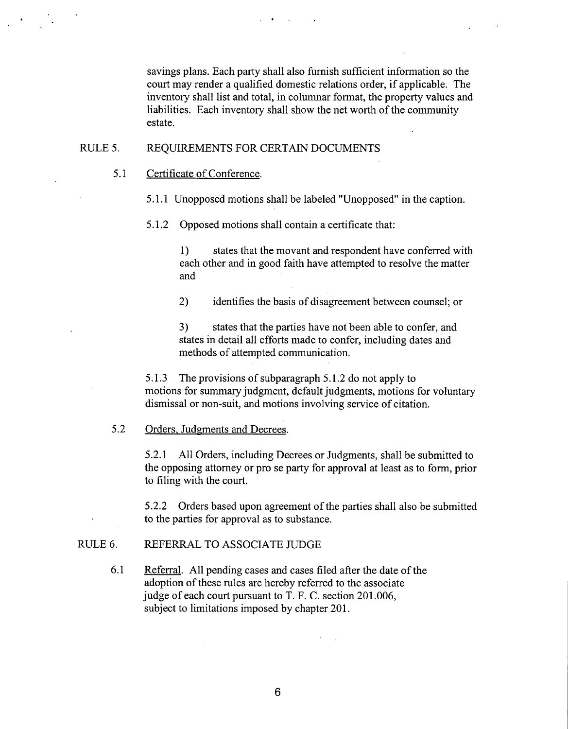savings plans. Each party shall also furnish sufficient information so the court may render a qualified domestic relations order, if applicable. The inventory shall list and total, in columnar format, the property values and liabilities. Each inventory shall show the net worth of the community estate.

# RULE 5. REQUIREMENTS FOR CERTAIN DOCUMENTS

5.1 Certificate of Conference.

**5.1.1 Unopposed motions shall be labeled "Unopposed" in the caption.**

**5.1.2 Opposed motions shall contain a certificate that:**

1) states that the movant and respondent have conferred with each other and in good faith have attempted to resolve the matter and

2) identifies the basis of disagreement between counsel; or

3) states that the parties have not been able to confer, and states in detail all efforts made to confer, including dates and methods of attempted communication.

5.1.3 The provisions of subparagraph 5.1.2 do not apply to motions for summary judgment, default judgments, motions for voluntary dismissal or non-suit, and motions involving service of citation.

# 5.2 Orders, Judgments and Decrees.

5.2.1 All Orders, including Decrees or Judgments, shall be submitted to the opposing attorney or pro se party for approval at least as to form, prior to filing with the court.

5.2.2 Orders based upon agreement of the parties shall also be submitted to the parties for approval as to substance.

# RULE 6. REFERRAL TO ASSOCIATE JUDGE

6.1 Referral. All pending cases and cases filed after the date of the adoption of these rules are hereby referred to the associate judge of each court pursuant to T. F. C. section 201.006, subject to limitations imposed by chapter 201.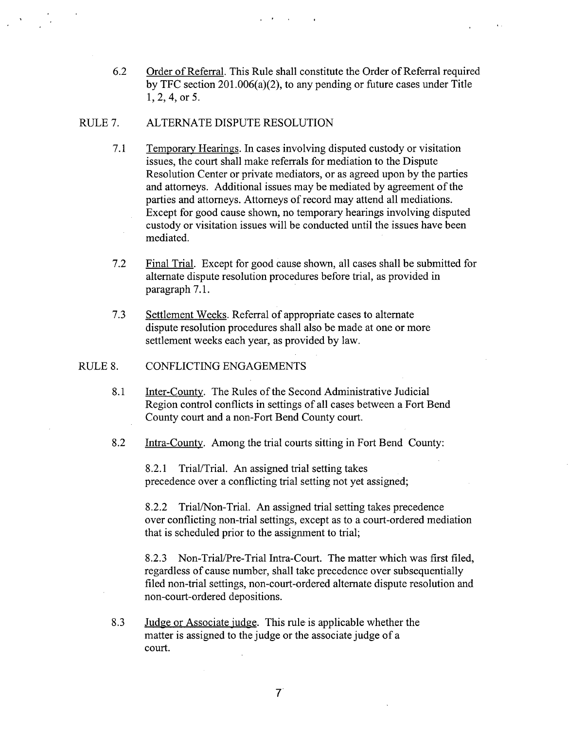6.2 Order of Referral. This Rule shall constitute the Order of Referral required by TFC section 201.006(a)(2), to any pending or future cases under Title 1, 2, 4, or 5.

# RULE 7. ALTERNATE DISPUTE RESOLUTION

- 7.1 Temporary Hearings. In cases involving disputed custody or visitation issues, the court shall make referrals for mediation to the Dispute Resolution Center or private mediators, or as agreed upon by the parties and attorneys. Additional issues may be mediated by agreement of the parties and attorneys. Attorneys of record may attend all mediations. Except for good cause shown, no temporary hearings involving disputed custody or visitation issues will be conducted until the issues have been mediated.
- 7.2 Final Trial. Except for good cause shown, all cases shall be submitted for alternate dispute resolution procedures before trial, as provided in paragraph 7.1.
- 7.3 Settlement Weeks. Referral of appropriate cases to alternate dispute resolution procedures shall also be made at one or more settlement weeks each year, as provided by law.

# RULE 8. CONFLICTING ENGAGEMENTS

- 8.1 Inter-County. The Rules of the Second Administrative Judicial Region control conflicts in settings of all cases between a Fort Bend County court and a non-Fort Bend County court.
- 8.2 Intra-County. Among the **trial courts sitting in** Fort Bend County:

8.2.1 Trial/Trial. An assigned trial setting takes precedence over a conflicting trial setting not yet assigned;

8.2.2 Trial/Non-Trial. An assigned trial setting takes precedence over conflicting non-trial settings, except as to a court-ordered mediation that is scheduled prior to the assignment to trial;

8.2.3 Non-Trial/Pre-Trial Intra-Court. The matter which was first filed, regardless of cause number, shall take precedence over subsequentially filed non-trial settings, non-court-ordered alternate dispute resolution and non-court-ordered depositions.

8.3 Judge or Associate judge. This rule is applicable whether the matter is assigned to the judge or the associate judge of a court.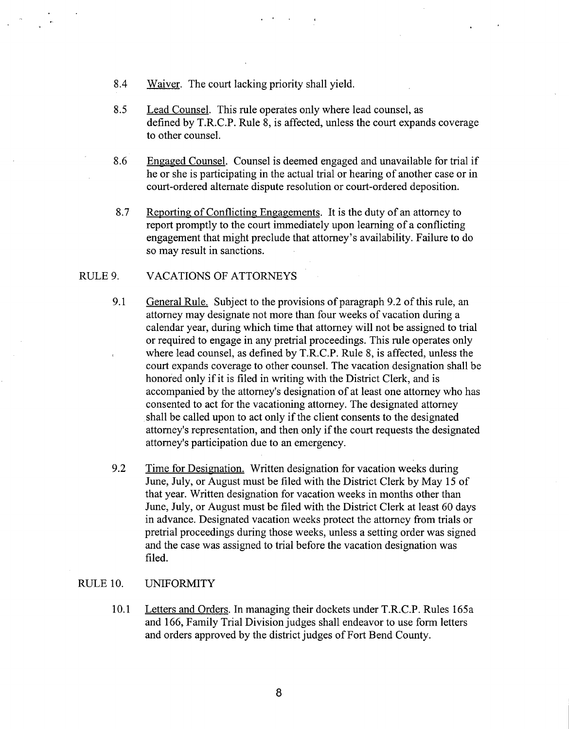- 8.4 Waiver. The court lacking priority shall yield.
- 8.5 Lead Counsel. This rule operates only where lead counsel, as defined by T.R.C.P. Rule 8, is affected, unless the court expands coverage to other counsel.
- 8.6 Engaged Counsel. Counsel is deemed engaged and unavailable for trial if he or she is participating in the actual trial or hearing of another case or in court-ordered alternate dispute resolution or court-ordered deposition.
- 8.7 Reporting of Conflicting Engagements. It is the duty of an attorney to report promptly to the court immediately upon learning of a conflicting engagement that might preclude that attorney's availability. Failure to do so may result in sanctions.

# RULE 9. VACATIONS OF ATTORNEYS

- 9.1 General Rule. Subject to the provisions of paragraph 9.2 of this rule, an attorney may designate not more than four weeks of vacation during a calendar year, during which time that attorney will not be assigned to trial or required to engage in any pretrial proceedings. This rule operates only where lead counsel, as defined by T.R.C.P. Rule 8, is affected, unless the court expands coverage to other counsel. The vacation designation shall be honored only if it is filed in writing with the District Clerk, and is accompanied by the attorney's designation of at least one attorney who has consented to act for the vacationing attorney. The designated attorney . shall be called upon to act only if the client consents to the designated attorney's representation, and then only if the court requests the designated attorney's participation due to an emergency.
- 9.2 Time for Designation. Written designation for vacation weeks during June, July, or August must be filed with the District Clerk by May 15 of that year. Written designation for vacation weeks in months other than June, July, or August must be filed with the District Clerk at least 60 days in advance. Designated vacation weeks protect the attorney from trials or pretrial proceedings during those weeks, unless a setting order was signed and the case was assigned to trial before the vacation designation was filed.

# RULE 10. UNIFORMITY

10.1 Letters and Orders. In managing their dockets under T.R.C.P. Rules 165a and 166, Family Trial Division judges shall endeavor to use form letters and orders approved by the district judges of Fort Bend County.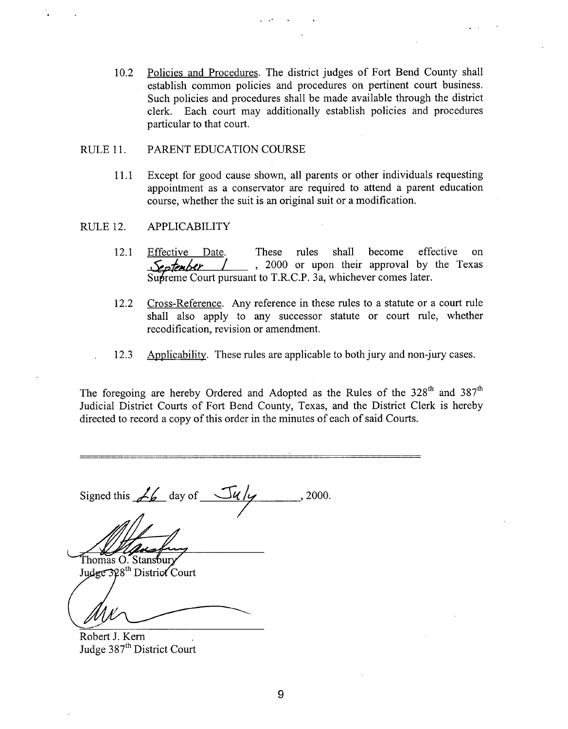10.2 Policies and Procedures. The district judges of Fort Bend County shall establish common policies and procedures on pertinent court business. Such policies and procedures shall be made available through the district clerk. Each court may additionally establish policies and procedures particular to that court.

#### RULE 11. PARENT EDUCATION COURSE

11.1 Except for good cause shown, all parents or other individuals requesting appointment as a conservator are required to attend a parent education course, whether the suit is an original suit or a modification.

#### RULE 12. APPLICABILITY

- 12.1 Effective Date. These rules shall become effective on , 2000 or upon their approval by the Texas September Supreme Court pursuant to T.R.C.P. 3a, whichever comes later.
- 12.2 Cross-Reference. Any reference in these rules to a statute or a court rule shall also apply to any successor statute or court rule, whether recodification, revision or amendment.
- 12.3 Apblicability. These **rules are applicable** to both jury **and non-jury cases.**

The foregoing are hereby Ordered and Adopted as the Rules of the  $328<sup>th</sup>$  and  $387<sup>th</sup>$ Judicial District Courts of Fort Bend County, Texas, and the District Clerk is hereby directed to record a copy of this order in the minutes of each of said Courts.

Signed this  $\angle b$  day of  $\frac{\sqrt{u}}{y}$  2000.

Thomas O. Stansbury

Judge 328<sup>th</sup> District Court

Robert J. Kern , Judge 387<sup>th</sup> District Court